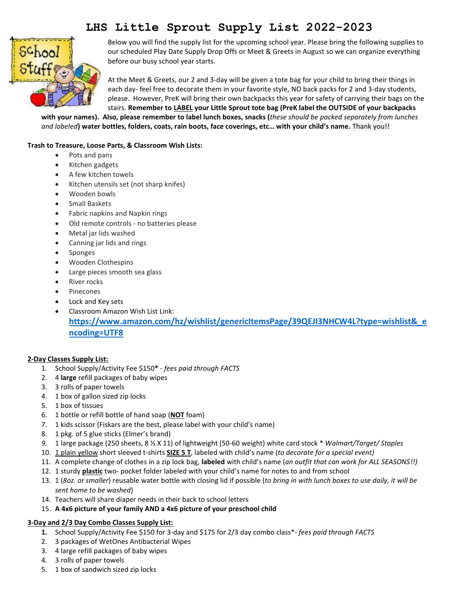# **LHS Little Sprout Supply List 2022-2023**



Below you will find the supply list for the upcoming school year. Please bring the following supplies to our scheduled Play Date Supply Drop Offs or Meet & Greets in August so we can organize everything before our busy school year starts.

At the Meet & Greets, our 2 and 3-day will be given a tote bag for your child to bring their things in each day- feel free to decorate them in your favorite style, NO back packs for 2 and 3-day students, please. However, PreK will bring their own backpacks this year for safety of carrying their bags on the stairs. **Remember to LABEL your Little Sprout tote bag (PreK label the OUTSIDE of your backpacks**

**with your names). Also, please remember to label lunch boxes, snacks (***these should be packed separately from lunches and labeled***) water bottles, folders, coats, rain boots, face coverings, etc… with your child's name.** Thank you!!

### **Trash to Treasure, Loose Parts, & Classroom Wish Lists:**

- Pots and pans
- Kitchen gadgets
- A few kitchen towels
- Kitchen utensils set (not sharp knifes)
- Wooden bowls
- **•** Small Baskets
- Fabric napkins and Napkin rings
- Old remote controls no batteries please
- Metal jar lids washed
- Canning jar lids and rings
- Sponges
- Wooden Clothespins
- Large pieces smooth sea glass
- River rocks
- Pinecones
- Lock and Key sets
- Classroom Amazon Wish List Link: **[https://www.amazon.com/hz/wishlist/genericItemsPage/39QEJI3NHCW4L?type=wishlist&\\_e](https://www.amazon.com/hz/wishlist/genericItemsPage/39QEJI3NHCW4L?type=wishlist&_encoding=UTF8) [ncoding=UTF8](https://www.amazon.com/hz/wishlist/genericItemsPage/39QEJI3NHCW4L?type=wishlist&_encoding=UTF8)**

### **2-Day Classes Supply List:**

- 1. School Supply/Activity Fee \$150**\*** *fees paid through FACTS*
- 2. 4 **large** refill packages of baby wipes
- 3. 3 rolls of paper towels
- 4. 1 box of gallon sized zip locks
- 5. 1 box of tissues
- 6. 1 bottle or refill bottle of hand soap (**NOT** foam)
- 7. 1 kids scissor (Fiskars are the best, please label with your child's name)
- 8. 1 pkg. of 5 glue sticks (Elmer's brand)
- *9.* 1 large package (250 sheets, 8 ½ X 11) of lightweight (50-60 weight) white card stock \* *Walmart/Target/ Staples*
- 10. 1 plain yellow short sleeved t-shirts **SIZE 5 T**, labeled with child's name (*to decorate for a special event)*
- 11. A complete change of clothes in a zip lock bag, **labeled** with child's name (*an outfit that can work for ALL SEASONS!!)*
- 12. 1 sturdy **plastic** two- pocket folder labeled with your child's name for notes to and from school
- 13. 1 (*8oz. or smaller*) reusable water bottle with closing lid if possible (*to bring in with lunch boxes to use daily, it will be sent home to be washed*)
- 14. Teachers will share diaper needs in their back to school letters
- 15. **A 4x6 picture of your family AND a 4x6 picture of your preschool child**

## **3-Day and 2/3 Day Combo Classes Supply List:**

- **1.** School Supply/Activity Fee \$150 for 3-day and \$175 for 2/3 day combo class\*- *fees paid through FACTS*
- 2. 3 packages of WetOnes Antibacterial Wipes
- 3. 4 large refill packages of baby wipes
- 4. 3 rolls of paper towels
- 5. 1 box of sandwich sized zip locks